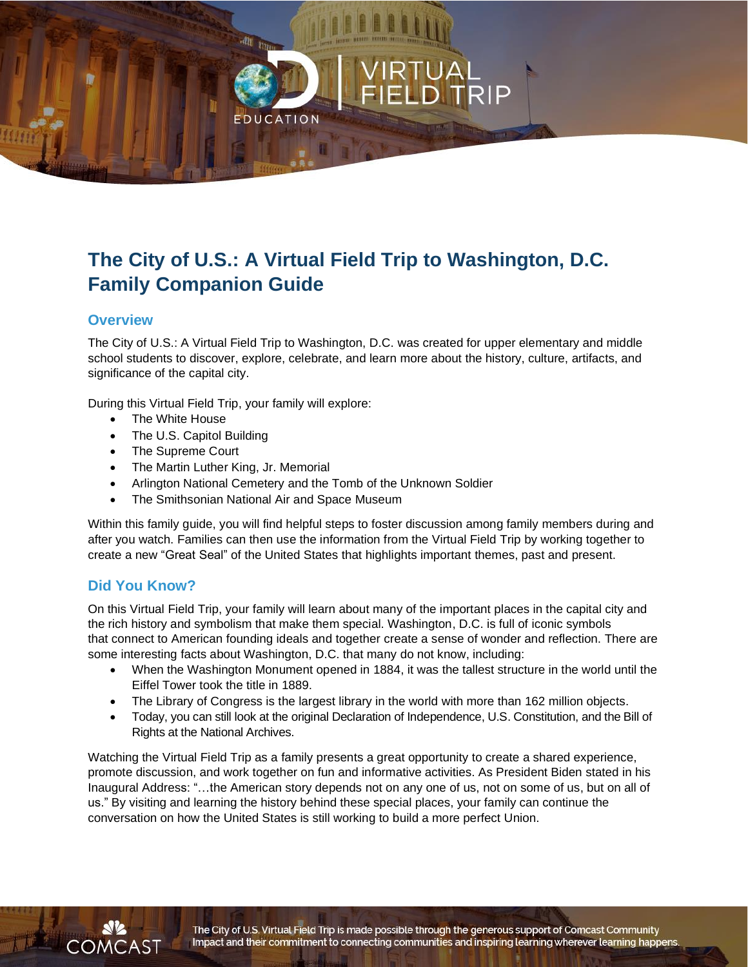# **ATION**

# **The City of U.S.: A Virtual Field Trip to Washington, D.C. Family Companion Guide**

## **Overview**

The City of U.S.: A Virtual Field Trip to Washington, D.C. was created for upper elementary and middle school students to discover, explore, celebrate, and learn more about the history, culture, artifacts, and significance of the capital city.

During this Virtual Field Trip, your family will explore:

- The White House
- The U.S. Capitol Building
- The Supreme Court
- The Martin Luther King, Jr. Memorial
- Arlington National Cemetery and the Tomb of the Unknown Soldier
- The Smithsonian National Air and Space Museum

Within this family guide, you will find helpful steps to foster discussion among family members during and after you watch. Families can then use the information from the Virtual Field Trip by working together to create a new "Great Seal" of the United States that highlights important themes, past and present.

### **Did You Know?**

On this Virtual Field Trip, your family will learn about many of the important places in the capital city and the rich history and symbolism that make them special. Washington, D.C. is full of iconic symbols that connect to American founding ideals and together create a sense of wonder and reflection. There are some interesting facts about Washington, D.C. that many do not know, including:

- When the Washington Monument opened in 1884, it was the tallest structure in the world until the Eiffel Tower took the title in 1889.
- The Library of Congress is the largest library in the world with more than 162 million objects.
- Today, you can still look at the original Declaration of Independence, U.S. Constitution, and the Bill of Rights at the National Archives.

Watching the Virtual Field Trip as a family presents a great opportunity to create a shared experience, promote discussion, and work together on fun and informative activities. As President Biden stated in his Inaugural Address: "…the American story depends not on any one of us, not on some of us, but on all of us." By visiting and learning the history behind these special places, your family can continue the conversation on how the United States is still working to build a more perfect Union.



The City of U.S. Virtual Field Trip is made possible through the generous support of Comcast Community Impact and their commitment to connecting communities and inspiring learning wherever learning happens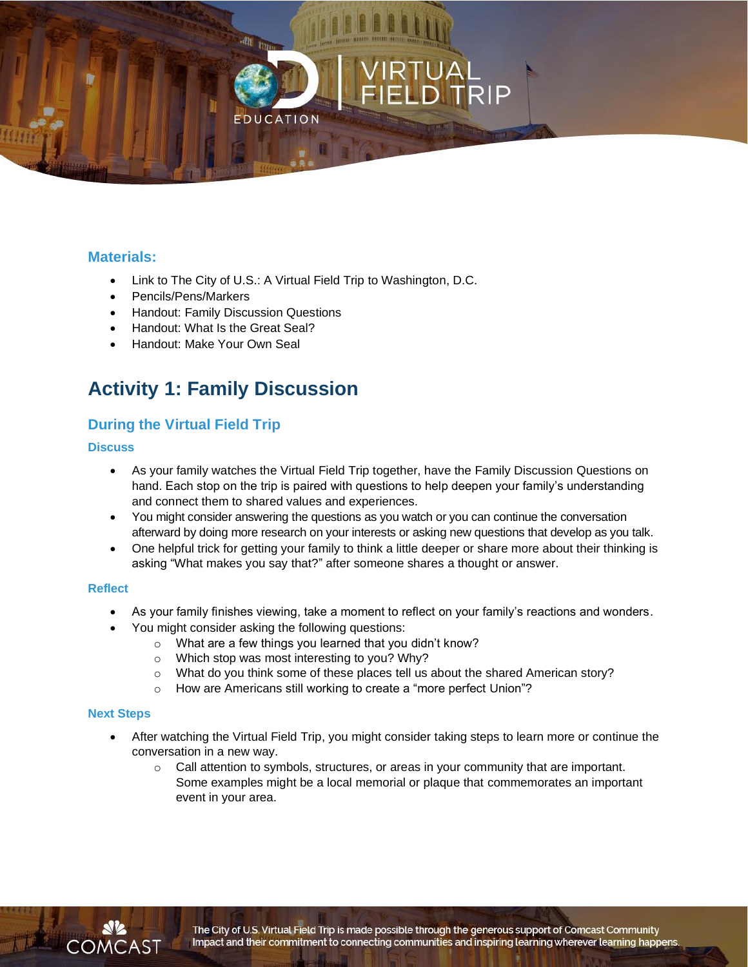

## **Materials:**

- Link to The City of U.S.: A Virtual Field Trip to Washington, D.C.
- Pencils/Pens/Markers
- Handout: Family Discussion Questions
- Handout: What Is the Great Seal?
- Handout: Make Your Own Seal

# **Activity 1: Family Discussion**

## **During the Virtual Field Trip**

#### **Discuss**

- As your family watches the Virtual Field Trip together, have the Family Discussion Questions on hand. Each stop on the trip is paired with questions to help deepen your family's understanding and connect them to shared values and experiences.
- You might consider answering the questions as you watch or you can continue the conversation afterward by doing more research on your interests or asking new questions that develop as you talk.
- One helpful trick for getting your family to think a little deeper or share more about their thinking is asking "What makes you say that?" after someone shares a thought or answer.

#### **Reflect**

- As your family finishes viewing, take a moment to reflect on your family's reactions and wonders.
- You might consider asking the following questions:
	- o What are a few things you learned that you didn't know?
	- o Which stop was most interesting to you? Why?
	- $\circ$  What do you think some of these places tell us about the shared American story?
	- o How are Americans still working to create a "more perfect Union"?

#### **Next Steps**

- After watching the Virtual Field Trip, you might consider taking steps to learn more or continue the conversation in a new way.
	- $\circ$  Call attention to symbols, structures, or areas in your community that are important. Some examples might be a local memorial or plaque that commemorates an important event in your area.

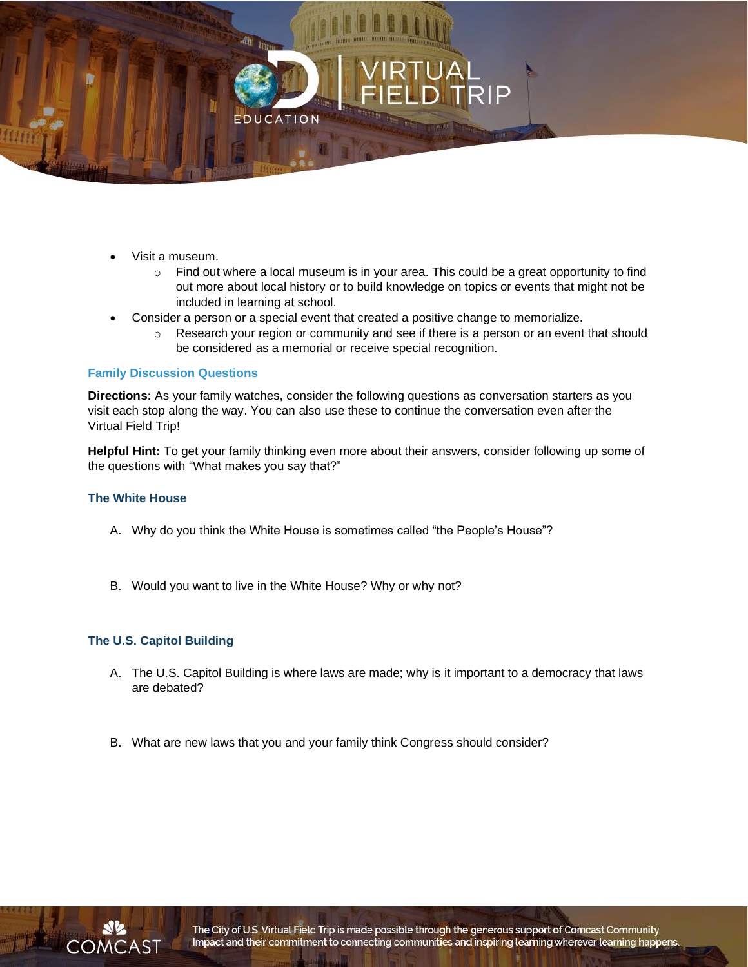

- Visit a museum.
	- $\circ$  Find out where a local museum is in your area. This could be a great opportunity to find out more about local history or to build knowledge on topics or events that might not be included in learning at school.
- Consider a person or a special event that created a positive change to memorialize.
	- $\circ$  Research your region or community and see if there is a person or an event that should be considered as a memorial or receive special recognition.

#### **Family Discussion Questions**

**Directions:** As your family watches, consider the following questions as conversation starters as you visit each stop along the way. You can also use these to continue the conversation even after the Virtual Field Trip!

**Helpful Hint:** To get your family thinking even more about their answers, consider following up some of the questions with "What makes you say that?"

#### **The White House**

- A. Why do you think the White House is sometimes called "the People's House"?
- B. Would you want to live in the White House? Why or why not?

#### **The U.S. Capitol Building**

- A. The U.S. Capitol Building is where laws are made; why is it important to a democracy that laws are debated?
- B. What are new laws that you and your family think Congress should consider?

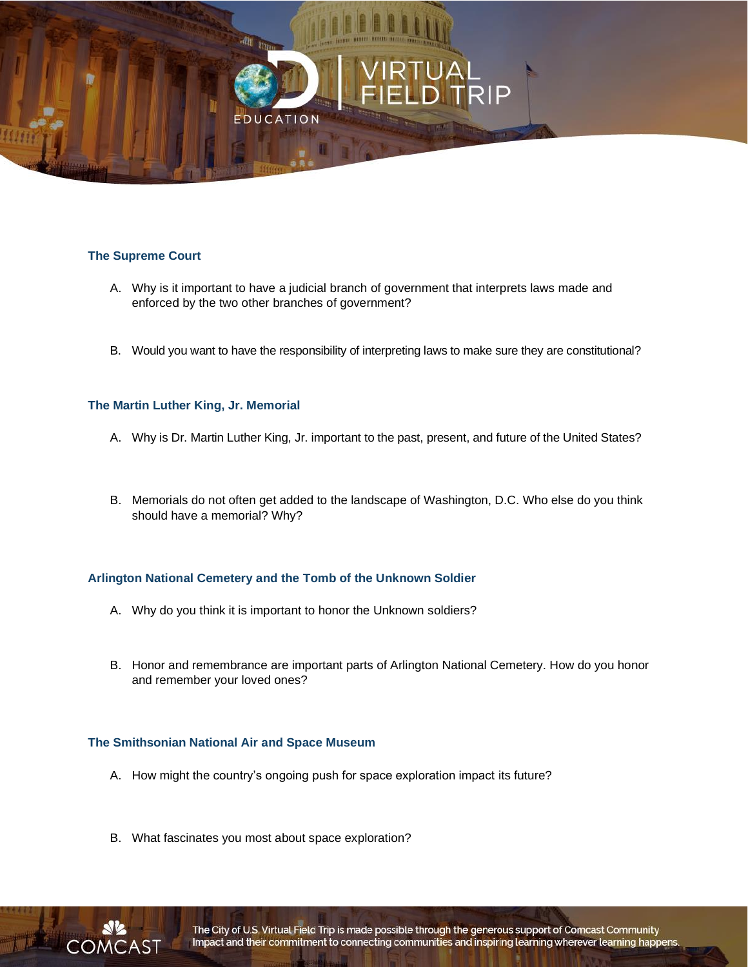

#### **The Supreme Court**

- A. Why is it important to have a judicial branch of government that interprets laws made and enforced by the two other branches of government?
- B. Would you want to have the responsibility of interpreting laws to make sure they are constitutional?

#### **The Martin Luther King, Jr. Memorial**

- A. Why is Dr. Martin Luther King, Jr. important to the past, present, and future of the United States?
- B. Memorials do not often get added to the landscape of Washington, D.C. Who else do you think should have a memorial? Why?

#### **Arlington National Cemetery and the Tomb of the Unknown Soldier**

- A. Why do you think it is important to honor the Unknown soldiers?
- B. Honor and remembrance are important parts of Arlington National Cemetery. How do you honor and remember your loved ones?

#### **The Smithsonian National Air and Space Museum**

- A. How might the country's ongoing push for space exploration impact its future?
- B. What fascinates you most about space exploration?

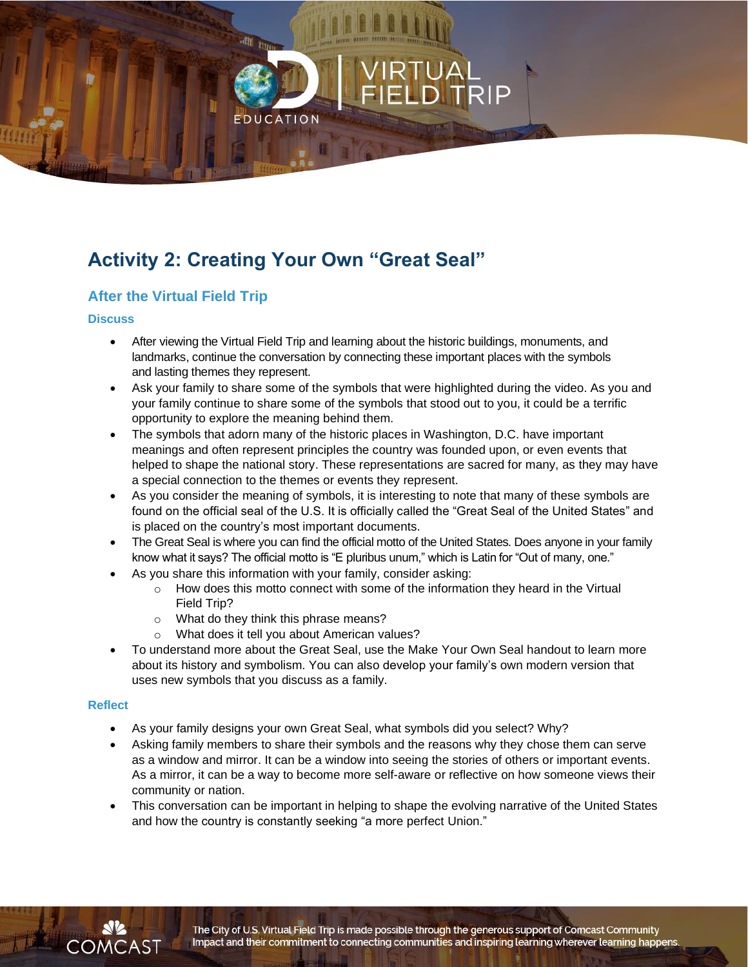# **Activity 2: Creating Your Own "Great Seal"**

**ATION** 

# **After the Virtual Field Trip**

#### **Discuss**

- After viewing the Virtual Field Trip and learning about the historic buildings, monuments, and landmarks, continue the conversation by connecting these important places with the symbols and lasting themes they represent.
- Ask your family to share some of the symbols that were highlighted during the video. As you and your family continue to share some of the symbols that stood out to you, it could be a terrific opportunity to explore the meaning behind them.
- The symbols that adorn many of the historic places in Washington, D.C. have important meanings and often represent principles the country was founded upon, or even events that helped to shape the national story. These representations are sacred for many, as they may have a special connection to the themes or events they represent.
- As you consider the meaning of symbols, it is interesting to note that many of these symbols are found on the official seal of the U.S. It is officially called the "Great Seal of the United States" and is placed on the country's most important documents.
- The Great Seal is where you can find the official motto of the United States. Does anyone in your family know what it says? The official motto is "E pluribus unum," which is Latin for "Out of many, one."
- As you share this information with your family, consider asking:
	- $\circ$  How does this motto connect with some of the information they heard in the Virtual Field Trip?
	- o What do they think this phrase means?
	- o What does it tell you about American values?
- To understand more about the Great Seal, use the Make Your Own Seal handout to learn more about its history and symbolism. You can also develop your family's own modern version that uses new symbols that you discuss as a family.

#### **Reflect**

COMCAST

- As your family designs your own Great Seal, what symbols did you select? Why?
- Asking family members to share their symbols and the reasons why they chose them can serve as a window and mirror. It can be a window into seeing the stories of others or important events. As a mirror, it can be a way to become more self-aware or reflective on how someone views their community or nation.
- This conversation can be important in helping to shape the evolving narrative of the United States and how the country is constantly seeking "a more perfect Union."

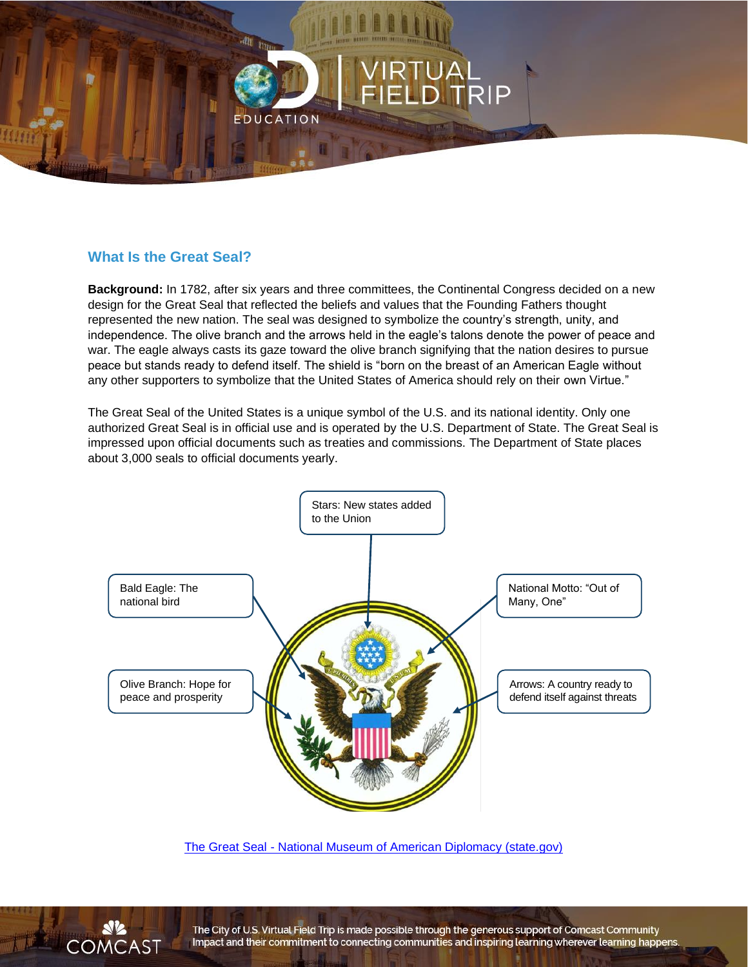

# **What Is the Great Seal?**

**Background:** In 1782, after six years and three committees, the Continental Congress decided on a new design for the Great Seal that reflected the beliefs and values that the Founding Fathers thought represented the new nation. The seal was designed to symbolize the country's strength, unity, and independence. The olive branch and the arrows held in the eagle's talons denote the power of peace and war. The eagle always casts its gaze toward the olive branch signifying that the nation desires to pursue peace but stands ready to defend itself. The shield is "born on the breast of an American Eagle without any other supporters to symbolize that the United States of America should rely on their own Virtue."

The Great Seal of the United States is a unique symbol of the U.S. and its national identity. Only one authorized Great Seal is in official use and is operated by the U.S. Department of State. The Great Seal is impressed upon official documents such as treaties and commissions. The Department of State places about 3,000 seals to official documents yearly.



The Great Seal - [National Museum of American Diplomacy \(state.gov\)](https://diplomacy.state.gov/exhibits/explore-online-exhibits/the-great-seal/)



The City of U.S. Virtual Field Trip is made possible through the generous support of Comcast Community Impact and their commitment to connecting communities and inspiring learning wherever learning happens.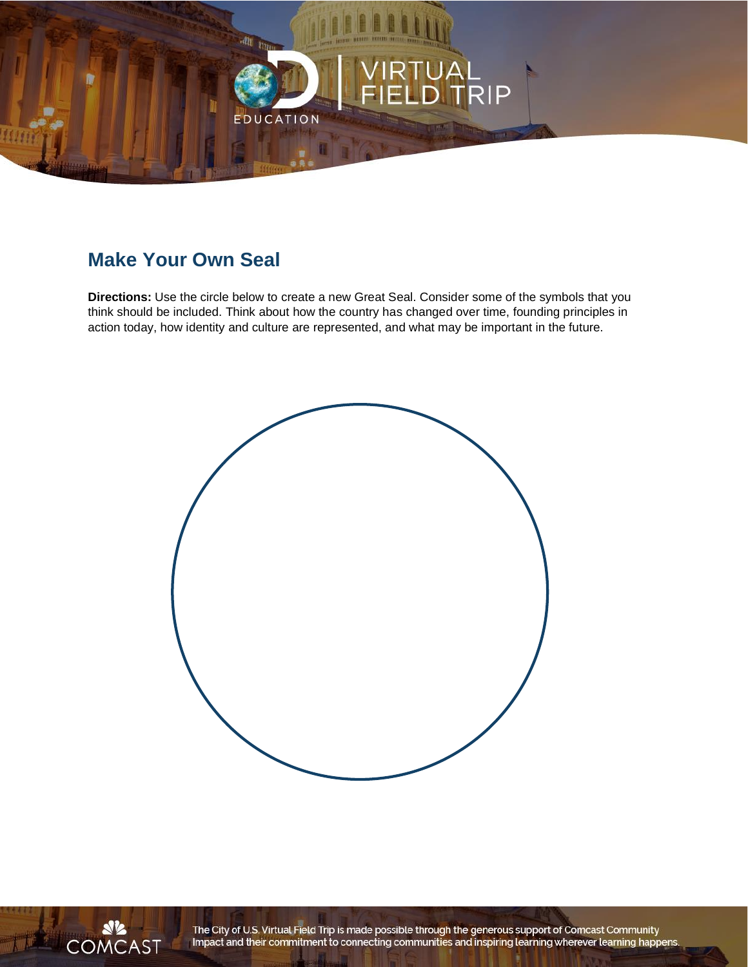

# **Make Your Own Seal**

**Directions:** Use the circle below to create a new Great Seal. Consider some of the symbols that you think should be included. Think about how the country has changed over time, founding principles in action today, how identity and culture are represented, and what may be important in the future.





The City of U.S. Virtual Field Trip is made possible through the generous support of Comcast Community<br>Impact and their commitment to connecting communities and inspiring learning wherever learning happens.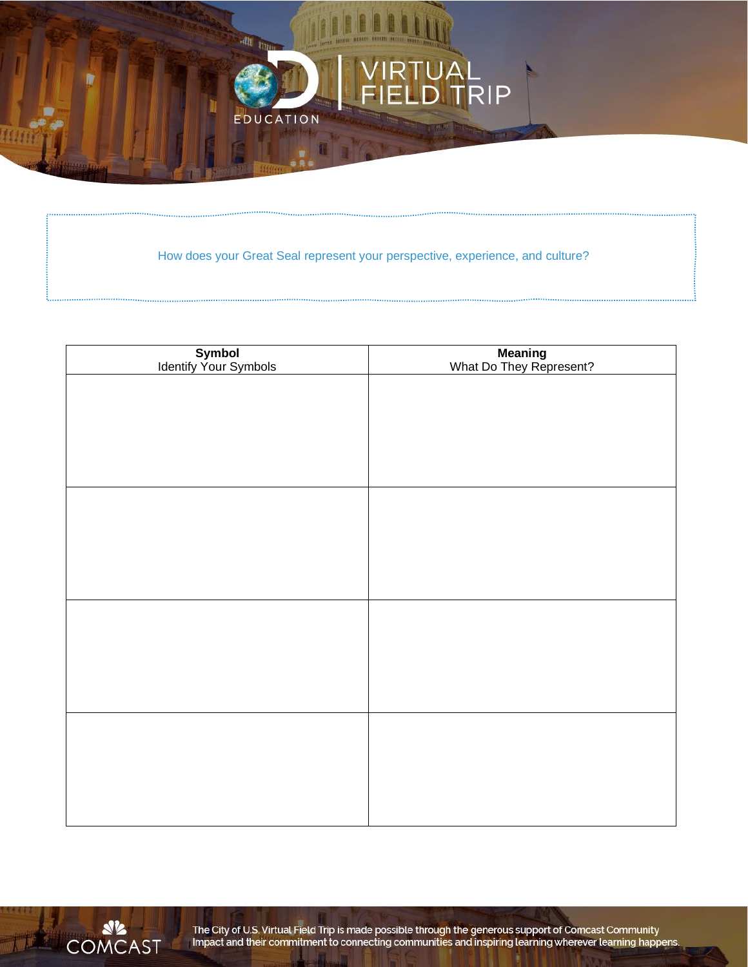

How does your Great Seal represent your perspective, experience, and culture?

| Symbol<br>Identify Your Symbols | Meaning<br>What Do They Represent? |
|---------------------------------|------------------------------------|
|                                 |                                    |
|                                 |                                    |
|                                 |                                    |
|                                 |                                    |
|                                 |                                    |
|                                 |                                    |
|                                 |                                    |
|                                 |                                    |
|                                 |                                    |
|                                 |                                    |
|                                 |                                    |
|                                 |                                    |
|                                 |                                    |
|                                 |                                    |
|                                 |                                    |
|                                 |                                    |



The City of U.S. Virtual Field Trip is made possible through the generous support of Comcast Community<br>Impact and their commitment to connecting communities and inspiring learning wherever learning happens.